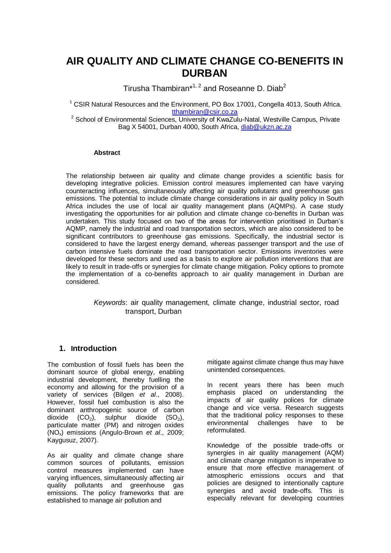# **AIR QUALITY AND CLIMATE CHANGE CO-BENEFITS IN DURBAN**

Tirusha Thambiran\*<sup>1, 2</sup> and Roseanne D. Diab<sup>2</sup>

 $1$  CSIR Natural Resources and the Environment, PO Box 17001, Congella 4013, South Africa. [tthambiran@csir.co.za](mailto:tthambiran@csir.co.za)

<sup>2</sup> School of Environmental Sciences, University of KwaZulu-Natal, Westville Campus, Private Bag X 54001, Durban 4000, South Africa, [diab@ukzn.ac.za](mailto:diab@ukzn.ac.za)

#### **Abstract**

The relationship between air quality and climate change provides a scientific basis for developing integrative policies. Emission control measures implemented can have varying counteracting influences, simultaneously affecting air quality pollutants and greenhouse gas emissions. The potential to include climate change considerations in air quality policy in South Africa includes the use of local air quality management plans (AQMPs). A case study investigating the opportunities for air pollution and climate change co-benefits in Durban was undertaken. This study focused on two of the areas for intervention prioritised in Durban's AQMP, namely the industrial and road transportation sectors, which are also considered to be significant contributors to greenhouse gas emissions. Specifically, the industrial sector is considered to have the largest energy demand, whereas passenger transport and the use of carbon intensive fuels dominate the road transportation sector. Emissions inventories were developed for these sectors and used as a basis to explore air pollution interventions that are likely to result in trade-offs or synergies for climate change mitigation. Policy options to promote the implementation of a co-benefits approach to air quality management in Durban are considered.

> *Keywords*: air quality management, climate change, industrial sector, road transport, Durban

#### **1. Introduction**

The combustion of fossil fuels has been the dominant source of global energy, enabling industrial development, thereby fuelling the economy and allowing for the provision of a variety of services (Bilgen *et al*., 2008). However, fossil fuel combustion is also the dominant anthropogenic source of carbon dioxide  $(CO_2)$ , sulphur dioxide  $(SO_2)$ , particulate matter (PM) and nitrogen oxides (NOx) emissions (Angulo-Brown *et al*., 2009; Kaygusuz, 2007).

As air quality and climate change share common sources of pollutants, emission control measures implemented can have varying influences, simultaneously affecting air quality pollutants and greenhouse gas emissions. The policy frameworks that are established to manage air pollution and

mitigate against climate change thus may have unintended consequences.

In recent years there has been much emphasis placed on understanding the impacts of air quality polices for climate change and vice versa. Research suggests that the traditional policy responses to these environmental challenges have to be reformulated.

Knowledge of the possible trade-offs or synergies in air quality management (AQM) and climate change mitigation is imperative to ensure that more effective management of atmospheric emissions occurs and that policies are designed to intentionally capture synergies and avoid trade-offs. This is especially relevant for developing countries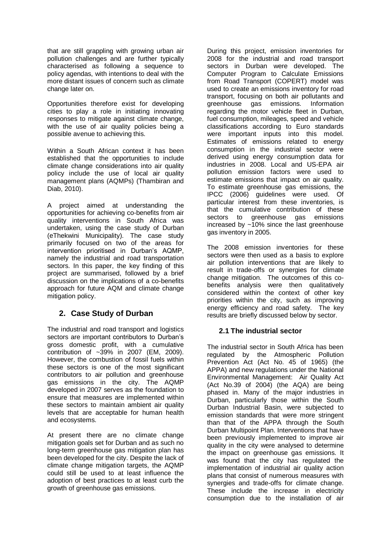that are still grappling with growing urban air pollution challenges and are further typically characterised as following a sequence to policy agendas, with intentions to deal with the more distant issues of concern such as climate change later on.

Opportunities therefore exist for developing cities to play a role in initiating innovating responses to mitigate against climate change, with the use of air quality policies being a possible avenue to achieving this.

Within a South African context it has been established that the opportunities to include climate change considerations into air quality policy include the use of local air quality management plans (AQMPs) (Thambiran and Diab, 2010).

A project aimed at understanding the opportunities for achieving co-benefits from air quality interventions in South Africa was undertaken, using the case study of Durban (eThekwini Municipality). The case study primarily focused on two of the areas for intervention prioritised in Durban's AQMP, namely the industrial and road transportation sectors. In this paper, the key finding of this project are summarised, followed by a brief discussion on the implications of a co-benefits approach for future AQM and climate change mitigation policy.

# **2. Case Study of Durban**

The industrial and road transport and logistics sectors are important contributors to Durban's gross domestic profit, with a cumulative contribution of ~39% in 2007 (EM, 2009). However, the combustion of fossil fuels within these sectors is one of the most significant contributors to air pollution and greenhouse gas emissions in the city. The AQMP developed in 2007 serves as the foundation to ensure that measures are implemented within these sectors to maintain ambient air quality levels that are acceptable for human health and ecosystems.

At present there are no climate change mitigation goals set for Durban and as such no long-term greenhouse gas mitigation plan has been developed for the city. Despite the lack of climate change mitigation targets, the AQMP could still be used to at least influence the adoption of best practices to at least curb the growth of greenhouse gas emissions.

During this project, emission inventories for 2008 for the industrial and road transport sectors in Durban were developed. The Computer Program to Calculate Emissions from Road Transport (COPERT) model was used to create an emissions inventory for road transport, focusing on both air pollutants and greenhouse gas emissions. Information regarding the motor vehicle fleet in Durban, fuel consumption, mileages, speed and vehicle classifications according to Euro standards were important inputs into this model. Estimates of emissions related to energy consumption in the industrial sector were derived using energy consumption data for industries in 2008. Local and US-EPA air pollution emission factors were used to estimate emissions that impact on air quality. To estimate greenhouse gas emissions, the IPCC (2006) guidelines were used. Of particular interest from these inventories, is that the cumulative contribution of these sectors to greenhouse gas emissions increased by ~10% since the last greenhouse gas inventory in 2005.

The 2008 emission inventories for these sectors were then used as a basis to explore air pollution interventions that are likely to result in trade-offs or synergies for climate change mitigation. The outcomes of this cobenefits analysis were then qualitatively considered within the context of other key priorities within the city, such as improving energy efficiency and road safety. The key results are briefly discussed below by sector.

#### **2.1 The industrial sector**

The industrial sector in South Africa has been regulated by the Atmospheric Pollution Prevention Act (Act No. 45 of 1965) (the APPA) and new regulations under the National Environmental Management: Air Quality Act (Act No.39 of 2004) (the AQA) are being phased in. Many of the major industries in Durban, particularly those within the South Durban Industrial Basin, were subjected to emission standards that were more stringent than that of the APPA through the South Durban Multipoint Plan. Interventions that have been previously implemented to improve air quality in the city were analysed to determine the impact on greenhouse gas emissions. It was found that the city has regulated the implementation of industrial air quality action plans that consist of numerous measures with synergies and trade-offs for climate change. These include the increase in electricity consumption due to the installation of air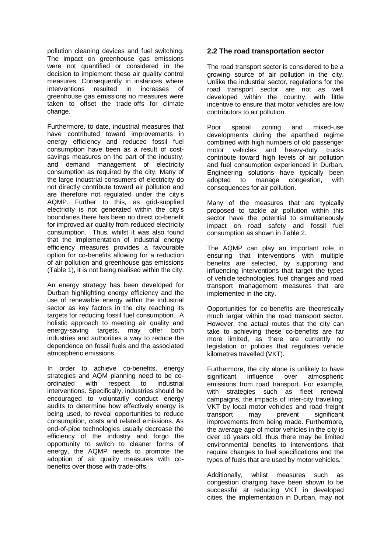pollution cleaning devices and fuel switching. The impact on greenhouse gas emissions were not quantified or considered in the decision to implement these air quality control measures. Consequently in instances where interventions resulted in increases of greenhouse gas emissions no measures were taken to offset the trade-offs for climate change.

Furthermore, to date, industrial measures that have contributed toward improvements in energy efficiency and reduced fossil fuel consumption have been as a result of costsavings measures on the part of the industry, and demand management of electricity consumption as required by the city. Many of the large industrial consumers of electricity do not directly contribute toward air pollution and are therefore not regulated under the city's AQMP. Further to this, as grid-supplied electricity is not generated within the city's boundaries there has been no direct co-benefit for improved air quality from reduced electricity consumption. Thus, whilst it was also found that the implementation of industrial energy efficiency measures provides a favourable option for co-benefits allowing for a reduction of air pollution and greenhouse gas emissions (Table 1), it is not being realised within the city.

An energy strategy has been developed for Durban highlighting energy efficiency and the use of renewable energy within the industrial sector as key factors in the city reaching its targets for reducing fossil fuel consumption. A holistic approach to meeting air quality and energy-saving targets, may offer both industries and authorities a way to reduce the dependence on fossil fuels and the associated atmospheric emissions.

In order to achieve co-benefits, energy strategies and AQM planning need to be coordinated with respect to industrial interventions. Specifically, industries should be encouraged to voluntarily conduct energy audits to determine how effectively energy is being used, to reveal opportunities to reduce consumption, costs and related emissions. As end-of-pipe technologies usually decrease the efficiency of the industry and forgo the opportunity to switch to cleaner forms of energy, the AQMP needs to promote the adoption of air quality measures with cobenefits over those with trade-offs.

#### **2.2 The road transportation sector**

The road transport sector is considered to be a growing source of air pollution in the city. Unlike the industrial sector, regulations for the road transport sector are not as well developed within the country, with little incentive to ensure that motor vehicles are low contributors to air pollution.

Poor spatial zoning and mixed-use developments during the apartheid regime combined with high numbers of old passenger motor vehicles and heavy-duty trucks contribute toward high levels of air pollution and fuel consumption experienced in Durban. Engineering solutions have typically been adopted to manage congestion, with consequences for air pollution.

Many of the measures that are typically proposed to tackle air pollution within this sector have the potential to simultaneously impact on road safety and fossil fuel consumption as shown in Table 2.

The AQMP can play an important role in ensuring that interventions with multiple benefits are selected, by supporting and influencing interventions that target the types of vehicle technologies, fuel changes and road transport management measures that are implemented in the city.

Opportunities for co-benefits are theoretically much larger within the road transport sector. However, the actual routes that the city can take to achieving these co-benefits are far more limited, as there are currently no legislation or policies that regulates vehicle kilometres travelled (VKT).

Furthermore, the city alone is unlikely to have significant influence over atmospheric emissions from road transport. For example, with strategies such as fleet renewal campaigns, the impacts of inter-city travelling, VKT by local motor vehicles and road freight transport may prevent significant improvements from being made. Furthermore, the average age of motor vehicles in the city is over 10 years old, thus there may be limited environmental benefits to interventions that require changes to fuel specifications and the types of fuels that are used by motor vehicles.

Additionally, whilst measures such as congestion charging have been shown to be successful at reducing VKT in developed cities, the implementation in Durban, may not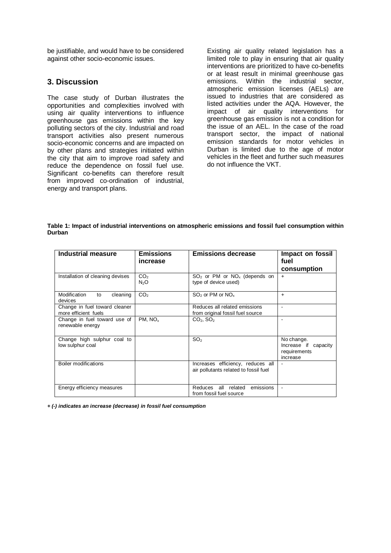be justifiable, and would have to be considered against other socio-economic issues.

## **3. Discussion**

The case study of Durban illustrates the opportunities and complexities involved with using air quality interventions to influence greenhouse gas emissions within the key polluting sectors of the city. Industrial and road transport activities also present numerous socio-economic concerns and are impacted on by other plans and strategies initiated within the city that aim to improve road safety and reduce the dependence on fossil fuel use. Significant co-benefits can therefore result from improved co-ordination of industrial, energy and transport plans.

Existing air quality related legislation has a limited role to play in ensuring that air quality interventions are prioritized to have co-benefits or at least result in minimal greenhouse gas emissions. Within the industrial sector, atmospheric emission licenses (AELs) are issued to industries that are considered as listed activities under the AQA. However, the impact of air quality interventions for greenhouse gas emission is not a condition for the issue of an AEL. In the case of the road transport sector, the impact of national emission standards for motor vehicles in Durban is limited due to the age of motor vehicles in the fleet and further such measures do not influence the VKT.

#### **Table 1: Impact of industrial interventions on atmospheric emissions and fossil fuel consumption within Durban**

| <b>Industrial measure</b>                             | <b>Emissions</b><br>increase        | <b>Emissions decrease</b>                                                  | Impact on fossil<br>fuel<br>consumption                        |
|-------------------------------------------------------|-------------------------------------|----------------------------------------------------------------------------|----------------------------------------------------------------|
| Installation of cleaning devises                      | CO <sub>2</sub><br>N <sub>2</sub> O | $SO2$ or PM or NO <sub>x</sub> (depends on<br>type of device used)         | $+$                                                            |
| Modification<br>cleaning<br>to<br>devices             | CO <sub>2</sub>                     | $SO2$ or PM or NO <sub>x</sub>                                             | $\div$                                                         |
| Change in fuel toward cleaner<br>more efficient fuels |                                     | Reduces all related emissions<br>from original fossil fuel source          |                                                                |
| Change in fuel toward use of<br>renewable energy      | $PM$ , $NOx$                        | $CO2$ , $SO2$                                                              |                                                                |
| Change high sulphur coal to<br>low sulphur coal       |                                     | SO <sub>2</sub>                                                            | No change.<br>Increase if capacity<br>requirements<br>increase |
| Boiler modifications                                  |                                     | Increases efficiency, reduces all<br>air pollutants related to fossil fuel | $\blacksquare$                                                 |
| Energy efficiency measures                            |                                     | Reduces all related<br>emissions<br>from fossil fuel source                | $\blacksquare$                                                 |

*+ (-) indicates an increase (decrease) in fossil fuel consumption*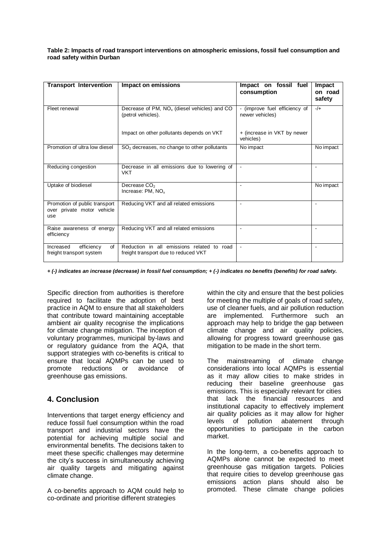**Table 2: Impacts of road transport interventions on atmospheric emissions, fossil fuel consumption and road safety within Durban**

| <b>Transport Intervention</b>                                      | Impact on emissions                                                                | Impact on fossil fuel<br>consumption             | Impact<br>on road<br>safety |
|--------------------------------------------------------------------|------------------------------------------------------------------------------------|--------------------------------------------------|-----------------------------|
| Fleet renewal                                                      | Decrease of PM, $NO_x$ (diesel vehicles) and CO<br>(petrol vehicles).              | - (improve fuel efficiency of<br>newer vehicles) | $-/-$                       |
|                                                                    | Impact on other pollutants depends on VKT                                          | + (increase in VKT by newer<br>vehicles)         |                             |
| Promotion of ultra low diesel                                      | SO <sub>2</sub> decreases, no change to other pollutants                           | No impact                                        | No impact                   |
| Reducing congestion                                                | Decrease in all emissions due to lowering of<br><b>VKT</b>                         | $\blacksquare$                                   |                             |
| Uptake of biodiesel                                                | Decrease CO <sub>2</sub><br>Increase: PM, NO <sub>x</sub>                          | ÷,                                               | No impact                   |
| Promotion of public transport<br>over private motor vehicle<br>use | Reducing VKT and all related emissions                                             | ÷                                                |                             |
| Raise awareness of energy<br>efficiency                            | Reducing VKT and all related emissions                                             | $\overline{\phantom{a}}$                         |                             |
| efficiency<br>of<br>Increased<br>freight transport system          | Reduction in all emissions related to road<br>freight transport due to reduced VKT | $\blacksquare$                                   | ٠                           |

*+ (-) indicates an increase (decrease) in fossil fuel consumption; + (-) indicates no benefits (benefits) for road safety.*

Specific direction from authorities is therefore required to facilitate the adoption of best practice in AQM to ensure that all stakeholders that contribute toward maintaining acceptable ambient air quality recognise the implications for climate change mitigation. The inception of voluntary programmes, municipal by-laws and or regulatory guidance from the AQA, that support strategies with co-benefits is critical to ensure that local AQMPs can be used to promote reductions or avoidance of greenhouse gas emissions.

# **4. Conclusion**

Interventions that target energy efficiency and reduce fossil fuel consumption within the road transport and industrial sectors have the potential for achieving multiple social and environmental benefits. The decisions taken to meet these specific challenges may determine the city's success in simultaneously achieving air quality targets and mitigating against climate change.

A co-benefits approach to AQM could help to co-ordinate and prioritise different strategies

within the city and ensure that the best policies for meeting the multiple of goals of road safety, use of cleaner fuels, and air pollution reduction are implemented. Furthermore such an approach may help to bridge the gap between climate change and air quality policies, allowing for progress toward greenhouse gas mitigation to be made in the short term.

The mainstreaming of climate change considerations into local AQMPs is essential as it may allow cities to make strides in reducing their baseline greenhouse gas emissions. This is especially relevant for cities that lack the financial resources and institutional capacity to effectively implement air quality policies as it may allow for higher levels of pollution abatement through opportunities to participate in the carbon market.

In the long-term, a co-benefits approach to AQMPs alone cannot be expected to meet greenhouse gas mitigation targets. Policies that require cities to develop greenhouse gas emissions action plans should also be promoted. These climate change policies